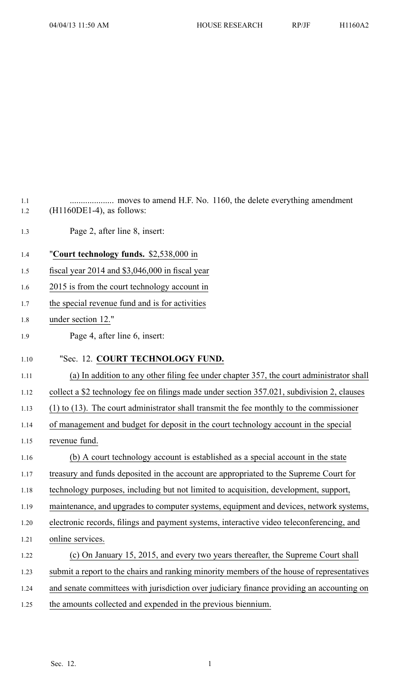| 1.1<br>1.2 | $(H1160DE1-4)$ , as follows:                                                                 |
|------------|----------------------------------------------------------------------------------------------|
| 1.3        | Page 2, after line 8, insert:                                                                |
| 1.4        | "Court technology funds. \$2,538,000 in                                                      |
| 1.5        | fiscal year $2014$ and \$3,046,000 in fiscal year                                            |
| 1.6        | 2015 is from the court technology account in                                                 |
| 1.7        | the special revenue fund and is for activities                                               |
| 1.8        | under section 12."                                                                           |
| 1.9        | Page 4, after line 6, insert:                                                                |
| 1.10       | "Sec. 12. COURT TECHNOLOGY FUND.                                                             |
| 1.11       | (a) In addition to any other filing fee under chapter 357, the court administrator shall     |
| 1.12       | collect a \$2 technology fee on filings made under section 357.021, subdivision 2, clauses   |
| 1.13       | $(1)$ to $(13)$ . The court administrator shall transmit the fee monthly to the commissioner |
| 1.14       | of management and budget for deposit in the court technology account in the special          |
| 1.15       | revenue fund.                                                                                |
| 1.16       | (b) A court technology account is established as a special account in the state              |
| 1.17       | treasury and funds deposited in the account are appropriated to the Supreme Court for        |
| 1.18       | technology purposes, including but not limited to acquisition, development, support,         |
| 1.19       | maintenance, and upgrades to computer systems, equipment and devices, network systems,       |
| 1.20       | electronic records, filings and payment systems, interactive video teleconferencing, and     |
| 1.21       | online services.                                                                             |
| 1.22       | (c) On January 15, 2015, and every two years thereafter, the Supreme Court shall             |
| 1.23       | submit a report to the chairs and ranking minority members of the house of representatives   |
| 1.24       | and senate committees with jurisdiction over judiciary finance providing an accounting on    |
| 1.25       | the amounts collected and expended in the previous biennium.                                 |